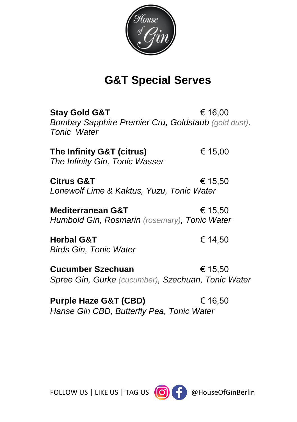

## **G&T Special Serves**

**Stav Gold G&T** € 16.00 *Bombay Sapphire Premier Cru, Goldstaub (gold dust), Tonic Water*

**The Infinity G&T (citrus)** € 15,00 *The Infinity Gin, Tonic Wasser*

**Citrus G&T** € 15,50 *Lonewolf Lime & Kaktus, Yuzu, Tonic Water*

**Mediterranean G&T** € 15,50 *Humbold Gin, Rosmarin (rosemary), Tonic Water*

**Herbal G&T** € 14,50 *Birds Gin, Tonic Water*

**Cucumber Szechuan** € 15,50 *Spree Gin, Gurke (cucumber), Szechuan, Tonic Water*

**Purple Haze G&T (CBD)** € 16,50 *Hanse Gin CBD, Butterfly Pea, Tonic Water*



FOLLOW US | LIKE US | TAG US (O) | DelouseOfGinBerlin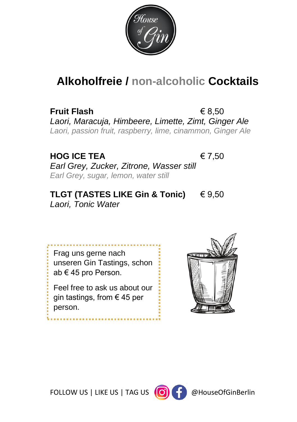

## **Alkoholfreie / non-alcoholic Cocktails**

**Fruit Flash**  $\in$  8.50 *Laori, Maracuja, Himbeere, Limette, Zimt, Ginger Ale Laori, passion fruit, raspberry, lime, cinammon, Ginger Ale*

#### **HOG ICE TEA** € 7,50

*Earl Grey, Zucker, Zitrone, Wasser still Earl Grey, sugar, lemon, water still*

**TLGT (TASTES LIKE Gin & Tonic)** € 9,50 *Laori, Tonic Water*

Frag uns gerne nach unseren Gin Tastings, schon ab € 45 pro Person.

Feel free to ask us about our gin tastings, from € 45 per person.



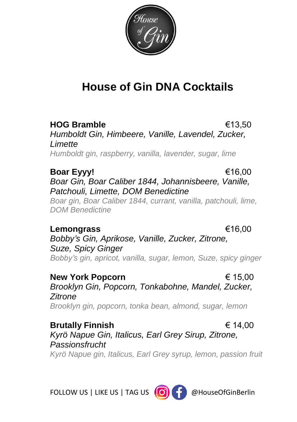

## **House of Gin DNA Cocktails**

**HOG Bramble** €13,50 *Humboldt Gin, Himbeere, Vanille, Lavendel, Zucker, Limette*

*Humboldt gin, raspberry, vanilla, lavender, sugar, lime*

**Boar Eyyy!** €16,00 *Boar Gin, Boar Caliber 1844, Johannisbeere, Vanille, Patchouli, Limette, DOM Benedictine*

*Boar gin, Boar Caliber 1844, currant, vanilla, patchouli, lime, DOM Benedictine*

#### **Lemongrass** €16,00

*Bobby's Gin, Aprikose, Vanille, Zucker, Zitrone, Suze, Spicy Ginger Bobby's gin, apricot, vanilla, sugar, lemon, Suze, spicy ginger*

**New York Popcorn** € 15,00 *Brooklyn Gin, Popcorn, Tonkabohne, Mandel, Zucker, Zitrone Brooklyn gin, popcorn, tonka bean, almond, sugar, lemon*

**Brutally Finnish** € 14,00 *Kyrö Napue Gin, Italicus, Earl Grey Sirup, Zitrone, Passionsfrucht Kyrö Napue gin, Italicus, Earl Grey syrup, lemon, passion fruit*

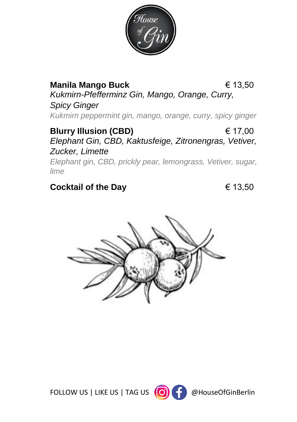

#### **Manila Mango Buck** € 13,50

*Kukmirn-Pfefferminz Gin, Mango, Orange, Curry, Spicy Ginger*

*Kukmirn peppermint gin, mango, orange, curry, spicy ginger*

#### **Blurry Illusion (CBD)** € 17,00 *Elephant Gin, CBD, Kaktusfeige, Zitronengras, Vetiver, Zucker, Limette*

*Elephant gin, CBD, prickly pear, lemongrass, Vetiver, sugar, lime*

#### **Cocktail of the Day** € 13,50



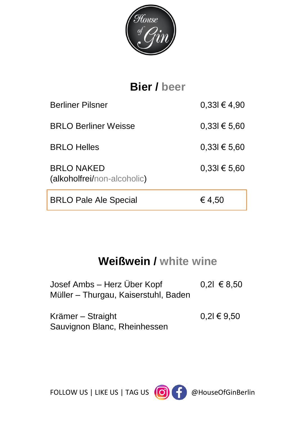

# **Bier / beer** Berliner Pilsner  $0,33l \in 4,90$ BRLO Berliner Weisse 0,33l € 5,60 BRLO Helles  $0,33l \in 5,60$ BRLO NAKED  $0,33$ l  $\in$  5,60 (alkoholfrei/non-alcoholic) BRLO Pale Ale Special  $\epsilon$  4,50

## **Weißwein / white wine**

| Josef Ambs - Herz Über Kopf          | $0,21 \in 8,50$ |
|--------------------------------------|-----------------|
| Müller – Thurgau, Kaiserstuhl, Baden |                 |

| Krämer – Straight            | $0,21 \in 9,50$ |
|------------------------------|-----------------|
| Sauvignon Blanc, Rheinhessen |                 |

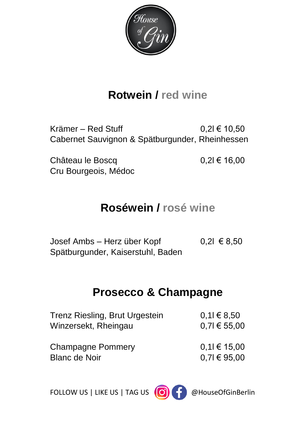

## **Rotwein / red wine**

Krämer – Red Stuff  $0,2l \in 10,50$ Cabernet Sauvignon & Spätburgunder, Rheinhessen

Château le Boscq  $0.2$ l  $\in$  16.00 Cru Bourgeois, Médoc

## **Roséwein / rosé wine**

Josef Ambs – Herz über Kopf 0,2l € 8,50 Spätburgunder, Kaiserstuhl, Baden

### **Prosecco & Champagne**

| $0,11 \in 8,50$  |
|------------------|
| $0.71 \in 55,00$ |
|                  |
| $0,11 \in 15,00$ |
| $0,71 \in 95.00$ |
|                  |

FOLLOW US | LIKE US | TAG US (O) | DR @HouseOfGinBerlin

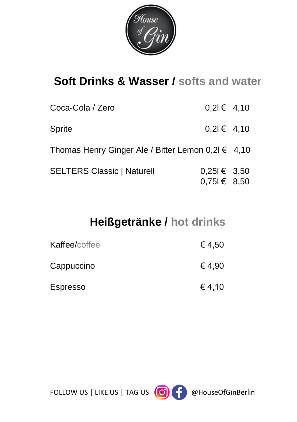

## **Soft Drinks & Wasser / softs and water**

| Coca-Cola / Zero                                       | $0.21 \in 4.10$                      |  |
|--------------------------------------------------------|--------------------------------------|--|
| <b>Sprite</b>                                          | $0,21 \in 4,10$                      |  |
| Thomas Henry Ginger Ale / Bitter Lemon $0,2l \in 4,10$ |                                      |  |
| <b>SELTERS Classic   Naturell</b>                      | $0,251 \in 3,50$<br>$0,751 \in 8,50$ |  |

## **Heißgetränke / hot drinks**

| Kaffee/coffee   | € 4,50 |
|-----------------|--------|
| Cappuccino      | € 4,90 |
| <b>Espresso</b> | € 4,10 |

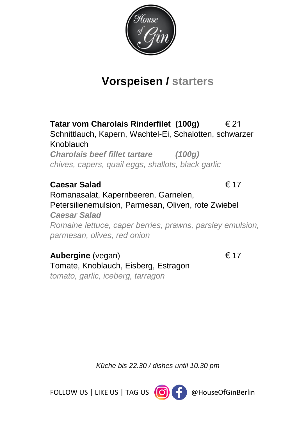

## **Vorspeisen / starters**

**Tatar vom Charolais Rinderfilet (100g)** € 21 Schnittlauch, Kapern, Wachtel-Ei, Schalotten, schwarzer Knoblauch

*Charolais beef fillet tartare (100g) chives, capers, quail eggs, shallots, black garlic*

#### **Caesar Salad** € 17

Romanasalat, Kapernbeeren, Garnelen, Petersilienemulsion, Parmesan, Oliven, rote Zwiebel *Caesar Salad Romaine lettuce, caper berries, prawns, parsley emulsion, parmesan, olives, red onion*

**Aubergine** (vegan) € 17 Tomate, Knoblauch, Eisberg, Estragon *tomato, garlic, iceberg, tarragon*

*Küche bis 22.30 / dishes until 10.30 pm*

FOLLOW US | LIKE US | TAG US (O) 4 @HouseOfGinBerlin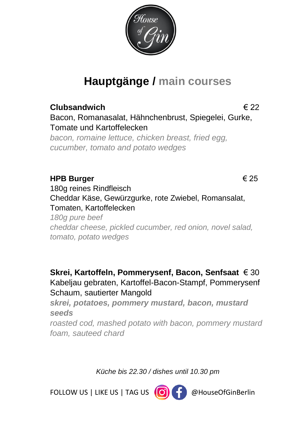

## **Hauptgänge / main courses**

#### **Clubsandwich** € 22

Bacon, Romanasalat, Hähnchenbrust, Spiegelei, Gurke, Tomate und Kartoffelecken

*bacon, romaine lettuce, chicken breast, fried egg, cucumber, tomato and potato wedges*

#### **HPB Burger** € 25

180g reines Rindfleisch Cheddar Käse, Gewürzgurke, rote Zwiebel, Romansalat, Tomaten, Kartoffelecken *180g pure beef cheddar cheese, pickled cucumber, red onion, novel salad, tomato, potato wedges*

**Skrei, Kartoffeln, Pommerysenf, Bacon, Senfsaat** € 30 Kabeljau gebraten, Kartoffel-Bacon-Stampf, Pommerysenf Schaum, sautierter Mangold

*skrei, potatoes, pommery mustard, bacon, mustard seeds roasted cod, mashed potato with bacon, pommery mustard foam, sauteed chard*

*Küche bis 22.30 / dishes until 10.30 pm*

FOLLOW US | LIKE US | TAG US (O) | DelouseOfGinBerlin

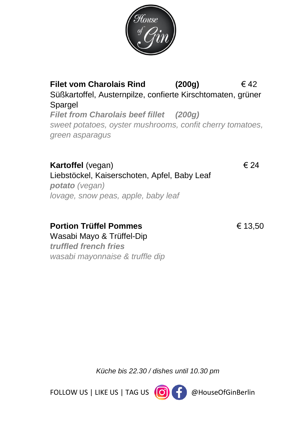

**Filet vom Charolais Rind (200g)** € 42 Süßkartoffel, Austernpilze, confierte Kirschtomaten, grüner **Spargel** *Filet from Charolais beef fillet (200g) sweet potatoes, oyster mushrooms, confit cherry tomatoes, green asparagus*

#### **Kartoffel** (vegan)€ 24

Liebstöckel, Kaiserschoten, Apfel, Baby Leaf *potato (vegan) lovage, snow peas, apple, baby leaf*

**Portion Trüffel Pommes** € 13,50 Wasabi Mayo & Trüffel-Dip

*truffled french fries wasabi mayonnaise & truffle dip*

*Küche bis 22.30 / dishes until 10.30 pm*